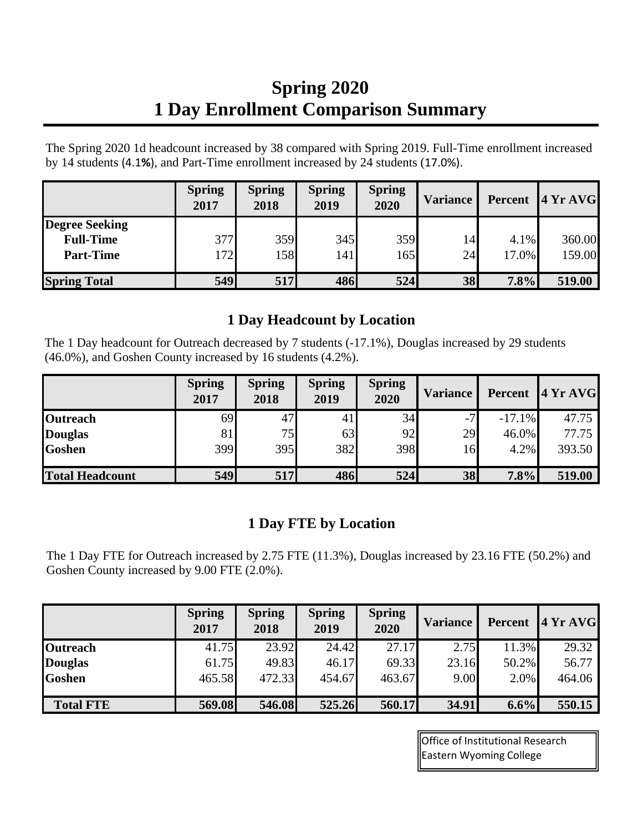## **Spring 2020 1 Day Enrollment Comparison Summary**

The Spring 2020 1d headcount increased by 38 compared with Spring 2019. Full-Time enrollment increased by 14 students (4.1**%**), and Part-Time enrollment increased by 24 students (17.0%).

|                       | <b>Spring</b><br>2017 | <b>Spring</b><br>2018 | <b>Spring</b><br>2019 | <b>Spring</b><br>2020 | <b>Variance</b> | Percent | 4YrAVG |
|-----------------------|-----------------------|-----------------------|-----------------------|-----------------------|-----------------|---------|--------|
| <b>Degree Seeking</b> |                       |                       |                       |                       |                 |         |        |
| <b>Full-Time</b>      | 377                   | 359                   | 345                   | 359                   | 14              | 4.1%    | 360.00 |
| <b>Part-Time</b>      | 172                   | 158                   | 141                   | 165                   | 24              | 17.0%   | 159.00 |
|                       |                       |                       |                       |                       |                 |         |        |
| <b>Spring Total</b>   | <b>549</b>            | 517                   | 486                   | 524                   | 38              | 7.8%    | 519.00 |

## **1 Day Headcount by Location**

The 1 Day headcount for Outreach decreased by 7 students (-17.1%), Douglas increased by 29 students (46.0%), and Goshen County increased by 16 students (4.2%).

|                        | <b>Spring</b><br>2017 | <b>Spring</b><br>2018 | <b>Spring</b><br>2019 | <b>Spring</b><br>2020 | <b>Variance</b> | Percent   | 4 Yr AVG |
|------------------------|-----------------------|-----------------------|-----------------------|-----------------------|-----------------|-----------|----------|
| <b>Outreach</b>        | 69                    | 47                    | 4 <sub>1</sub>        | 34                    | $-7$            | $-17.1\%$ | 47.75    |
| <b>Douglas</b>         | 81                    | 75                    | 63                    | 92                    | 29              | 46.0%     | 77.75    |
| <b>Goshen</b>          | 399                   | 395                   | 382                   | 398                   | 16              | 4.2%      | 393.50   |
| <b>Total Headcount</b> | 549                   | 517                   | 486                   | 524                   | 38              | 7.8%      | 519.00   |

## **1 Day FTE by Location**

The 1 Day FTE for Outreach increased by 2.75 FTE (11.3%), Douglas increased by 23.16 FTE (50.2%) and Goshen County increased by 9.00 FTE (2.0%).

|                  | <b>Spring</b><br>2017 | <b>Spring</b><br>2018 | <b>Spring</b><br>2019 | <b>Spring</b><br>2020 | <b>Variance</b> | Percent / | 4YrAVG |
|------------------|-----------------------|-----------------------|-----------------------|-----------------------|-----------------|-----------|--------|
| <b>Outreach</b>  | 41.75                 | 23.92                 | 24.42                 | 27.17                 | 2.75            | 11.3%     | 29.32  |
| <b>Douglas</b>   | 61.75                 | 49.83                 | 46.17                 | 69.33                 | 23.16           | 50.2%     | 56.77  |
| <b>Goshen</b>    | 465.58                | 472.33                | 454.67                | 463.67                | 9.00            | 2.0%      | 464.06 |
| <b>Total FTE</b> | 569.08                | 546.08                | 525.26                | 560.17                | 34.91           | $6.6\%$   | 550.15 |

Office of Institutional Research Eastern Wyoming College